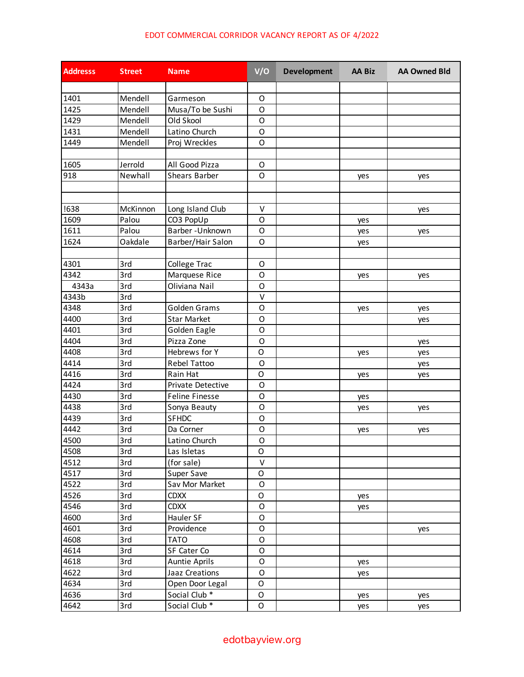## EDOT COMMERCIAL CORRIDOR VACANCY REPORT AS OF 4/2022

| <b>Addresss</b> | <b>Street</b> | <b>Name</b>              | V/O          | <b>Development</b> | <b>AA Biz</b> | <b>AA Owned Bld</b> |
|-----------------|---------------|--------------------------|--------------|--------------------|---------------|---------------------|
|                 |               |                          |              |                    |               |                     |
| 1401            | Mendell       | Garmeson                 | $\mathsf O$  |                    |               |                     |
| 1425            | Mendell       | Musa/To be Sushi         | O            |                    |               |                     |
| 1429            | Mendell       | Old Skool                | O            |                    |               |                     |
| 1431            | Mendell       | Latino Church            | O            |                    |               |                     |
| 1449            | Mendell       | Proj Wreckles            | $\circ$      |                    |               |                     |
|                 |               |                          |              |                    |               |                     |
| 1605            | Jerrold       | All Good Pizza           | $\mathsf O$  |                    |               |                     |
| 918             | Newhall       | <b>Shears Barber</b>     | O            |                    | yes           | yes                 |
|                 |               |                          |              |                    |               |                     |
|                 |               |                          |              |                    |               |                     |
| !638            | McKinnon      | Long Island Club         | $\vee$       |                    |               | yes                 |
| 1609            | Palou         | CO3 PopUp                | $\circ$      |                    | yes           |                     |
| 1611            | Palou         | Barber-Unknown           | O            |                    | yes           | yes                 |
| 1624            | Oakdale       | Barber/Hair Salon        | $\circ$      |                    | yes           |                     |
|                 |               |                          |              |                    |               |                     |
| 4301            | 3rd           | College Trac             | O            |                    |               |                     |
| 4342            | 3rd           | Marquese Rice            | $\mathsf O$  |                    | yes           | yes                 |
| 4343a           | 3rd           | Oliviana Nail            | O            |                    |               |                     |
| 4343b           | 3rd           |                          | V            |                    |               |                     |
| 4348            | 3rd           | Golden Grams             | O            |                    | yes           | yes                 |
| 4400            | 3rd           | <b>Star Market</b>       | $\circ$      |                    |               | yes                 |
| 4401            | 3rd           | Golden Eagle             | $\circ$      |                    |               |                     |
| 4404            | 3rd           | Pizza Zone               | $\circ$      |                    |               | yes                 |
| 4408            | 3rd           | Hebrews for Y            | O            |                    |               | yes                 |
| 4414            | 3rd           | Rebel Tattoo             | $\circ$      |                    | yes           | yes                 |
| 4416            | 3rd           | Rain Hat                 | O            |                    |               |                     |
| 4424            | 3rd           | Private Detective        | $\circ$      |                    | yes           | yes                 |
| 4430            | 3rd           | <b>Feline Finesse</b>    | $\circ$      |                    |               |                     |
| 4438            | 3rd           | Sonya Beauty             | O            |                    | yes           |                     |
| 4439            | 3rd           | <b>SFHDC</b>             | $\mathsf O$  |                    | yes           | yes                 |
| 4442            | 3rd           | Da Corner                | $\mathsf O$  |                    |               |                     |
|                 |               |                          |              |                    | yes           | yes                 |
| 4500            | 3rd           | Latino Church            | $\mathsf{O}$ |                    |               |                     |
| 4508            | 3rd           | Las Isletas              | O            |                    |               |                     |
| 4512            | 3rd           | (for sale)               | $\vee$       |                    |               |                     |
| 4517            | 3rd           | Super Save               | O            |                    |               |                     |
| 4522            | 3rd           | Sav Mor Market           | $\mathsf O$  |                    |               |                     |
| 4526            | 3rd           | <b>CDXX</b>              | O            |                    | yes           |                     |
| 4546            | 3rd           | <b>CDXX</b>              | $\mathsf O$  |                    | yes           |                     |
| 4600            | 3rd           | Hauler SF                | $\circ$      |                    |               |                     |
| 4601            | 3rd           | Providence               | $\mathsf O$  |                    |               | yes                 |
| 4608            | 3rd           | <b>TATO</b>              | $\mathsf O$  |                    |               |                     |
| 4614            | 3rd           | SF Cater Co              | $\mathsf O$  |                    |               |                     |
| 4618            | 3rd           | <b>Auntie Aprils</b>     | $\mathsf O$  |                    | yes           |                     |
| 4622            | 3rd           | Jaaz Creations           | $\mathsf O$  |                    | yes           |                     |
| 4634            | 3rd           | Open Door Legal          | O            |                    |               |                     |
| 4636            | 3rd           | Social Club <sup>*</sup> | $\mathsf O$  |                    | yes           | yes                 |
| 4642            | 3rd           | Social Club <sup>*</sup> | $\mathsf O$  |                    | yes           | yes                 |

## edotbayview.org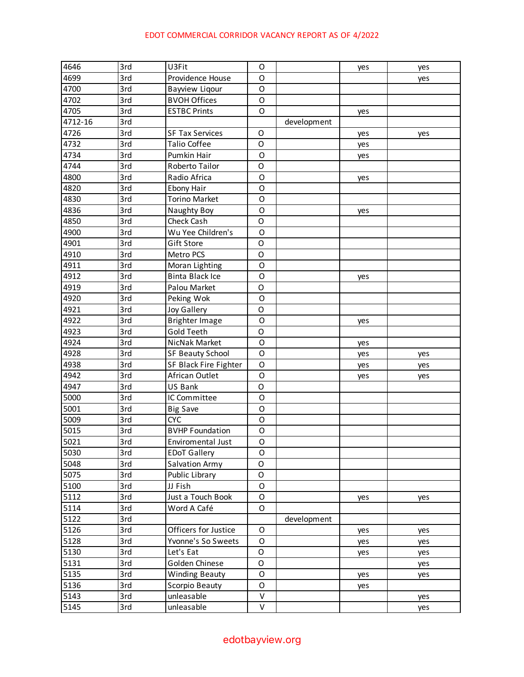## EDOT COMMERCIAL CORRIDOR VACANCY REPORT AS OF 4/2022

| 4646    | 3rd | U3Fit                  | O            |             | yes | yes |
|---------|-----|------------------------|--------------|-------------|-----|-----|
| 4699    | 3rd | Providence House       | O            |             |     | yes |
| 4700    | 3rd | <b>Bayview Ligour</b>  | O            |             |     |     |
| 4702    | 3rd | <b>BVOH Offices</b>    | O            |             |     |     |
| 4705    | 3rd | <b>ESTBC Prints</b>    | $\circ$      |             | yes |     |
| 4712-16 | 3rd |                        |              | development |     |     |
| 4726    | 3rd | <b>SF Tax Services</b> | O            |             | yes | yes |
| 4732    | 3rd | <b>Talio Coffee</b>    | $\mathsf O$  |             | yes |     |
| 4734    | 3rd | Pumkin Hair            | O            |             | yes |     |
| 4744    | 3rd | Roberto Tailor         | $\mathsf O$  |             |     |     |
| 4800    | 3rd | Radio Africa           | $\circ$      |             | yes |     |
| 4820    | 3rd | <b>Ebony Hair</b>      | O            |             |     |     |
| 4830    | 3rd | <b>Torino Market</b>   | O            |             |     |     |
| 4836    | 3rd | Naughty Boy            | O            |             | yes |     |
| 4850    | 3rd | Check Cash             | O            |             |     |     |
| 4900    | 3rd | Wu Yee Children's      | O            |             |     |     |
| 4901    | 3rd | Gift Store             | O            |             |     |     |
| 4910    | 3rd | Metro PCS              | $\mathsf O$  |             |     |     |
| 4911    | 3rd | Moran Lighting         | O            |             |     |     |
| 4912    | 3rd | <b>Binta Black Ice</b> | O            |             | yes |     |
| 4919    | 3rd | Palou Market           | $\mathsf{O}$ |             |     |     |
| 4920    | 3rd | Peking Wok             | $\circ$      |             |     |     |
| 4921    | 3rd | <b>Joy Gallery</b>     | $\mathsf{O}$ |             |     |     |
| 4922    | 3rd | <b>Brighter Image</b>  | O            |             | yes |     |
| 4923    | 3rd | <b>Gold Teeth</b>      | O            |             |     |     |
| 4924    | 3rd | NicNak Market          | O            |             | yes |     |
| 4928    | 3rd | SF Beauty School       | O            |             | yes | yes |
| 4938    | 3rd | SF Black Fire Fighter  | O            |             | yes | yes |
| 4942    | 3rd | African Outlet         | O            |             | yes | yes |
| 4947    | 3rd | US Bank                | $\mathsf O$  |             |     |     |
| 5000    | 3rd | IC Committee           | $\circ$      |             |     |     |
| 5001    | 3rd | <b>Big Save</b>        | O            |             |     |     |
| 5009    | 3rd | <b>CYC</b>             | O            |             |     |     |
| 5015    | 3rd | <b>BVHP Foundation</b> | O            |             |     |     |
| 5021    | 3rd | Enviromental Just      | 0            |             |     |     |
| 5030    | 3rd | <b>EDoT Gallery</b>    | O            |             |     |     |
| 5048    | 3rd | Salvation Army         | O            |             |     |     |
| 5075    | 3rd | Public Library         | $\mathsf O$  |             |     |     |
| 5100    | 3rd | JJ Fish                | O            |             |     |     |
| 5112    | 3rd | Just a Touch Book      | O            |             | yes | yes |
| 5114    | 3rd | Word A Café            | O            |             |     |     |
| 5122    | 3rd |                        |              | development |     |     |
| 5126    | 3rd | Officers for Justice   | $\mathsf O$  |             | yes | yes |
| 5128    | 3rd | Yvonne's So Sweets     | O            |             | yes | yes |
| 5130    | 3rd | Let's Eat              | $\mathsf O$  |             | yes | yes |
| 5131    | 3rd | Golden Chinese         | $\mathsf O$  |             |     | yes |
| 5135    | 3rd | <b>Winding Beauty</b>  | O            |             | yes | yes |
| 5136    | 3rd | Scorpio Beauty         | O            |             | yes |     |
| 5143    | 3rd | unleasable             | V            |             |     | yes |
| 5145    | 3rd | unleasable             | $\mathsf{V}$ |             |     | yes |

edotbayview.org